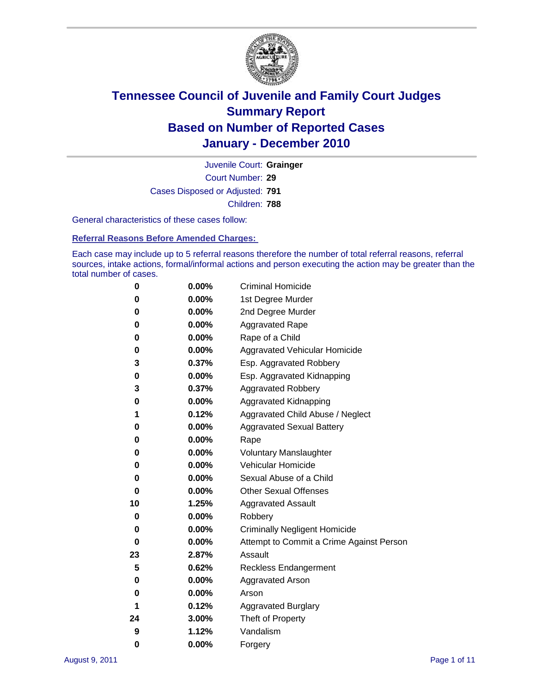

Court Number: **29** Juvenile Court: **Grainger** Cases Disposed or Adjusted: **791** Children: **788**

General characteristics of these cases follow:

**Referral Reasons Before Amended Charges:** 

Each case may include up to 5 referral reasons therefore the number of total referral reasons, referral sources, intake actions, formal/informal actions and person executing the action may be greater than the total number of cases.

| 0  | 0.00%    | <b>Criminal Homicide</b>                 |
|----|----------|------------------------------------------|
| 0  | 0.00%    | 1st Degree Murder                        |
| 0  | 0.00%    | 2nd Degree Murder                        |
| 0  | 0.00%    | <b>Aggravated Rape</b>                   |
| 0  | 0.00%    | Rape of a Child                          |
| 0  | 0.00%    | Aggravated Vehicular Homicide            |
| 3  | 0.37%    | Esp. Aggravated Robbery                  |
| 0  | 0.00%    | Esp. Aggravated Kidnapping               |
| 3  | 0.37%    | <b>Aggravated Robbery</b>                |
| 0  | 0.00%    | Aggravated Kidnapping                    |
| 1  | 0.12%    | Aggravated Child Abuse / Neglect         |
| 0  | 0.00%    | <b>Aggravated Sexual Battery</b>         |
| 0  | 0.00%    | Rape                                     |
| 0  | 0.00%    | <b>Voluntary Manslaughter</b>            |
| 0  | 0.00%    | Vehicular Homicide                       |
| 0  | 0.00%    | Sexual Abuse of a Child                  |
| 0  | 0.00%    | <b>Other Sexual Offenses</b>             |
| 10 | 1.25%    | <b>Aggravated Assault</b>                |
| 0  | $0.00\%$ | Robbery                                  |
| 0  | 0.00%    | <b>Criminally Negligent Homicide</b>     |
| 0  | 0.00%    | Attempt to Commit a Crime Against Person |
| 23 | 2.87%    | Assault                                  |
| 5  | 0.62%    | <b>Reckless Endangerment</b>             |
| 0  | 0.00%    | <b>Aggravated Arson</b>                  |
| 0  | 0.00%    | Arson                                    |
| 1  | 0.12%    | <b>Aggravated Burglary</b>               |
| 24 | 3.00%    | Theft of Property                        |
| 9  | 1.12%    | Vandalism                                |
| 0  | 0.00%    | Forgery                                  |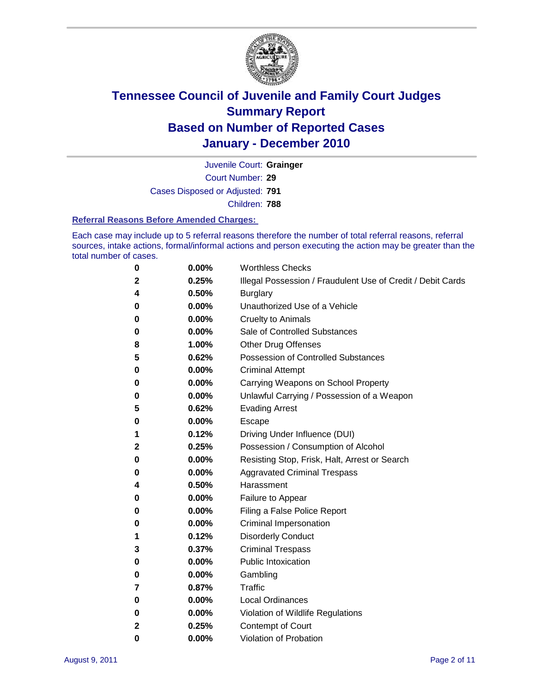

Court Number: **29** Juvenile Court: **Grainger** Cases Disposed or Adjusted: **791**

Children: **788**

#### **Referral Reasons Before Amended Charges:**

Each case may include up to 5 referral reasons therefore the number of total referral reasons, referral sources, intake actions, formal/informal actions and person executing the action may be greater than the total number of cases.

| $\boldsymbol{0}$ | 0.00%    | <b>Worthless Checks</b>                                     |
|------------------|----------|-------------------------------------------------------------|
| $\mathbf 2$      | 0.25%    | Illegal Possession / Fraudulent Use of Credit / Debit Cards |
| 4                | 0.50%    | <b>Burglary</b>                                             |
| 0                | 0.00%    | Unauthorized Use of a Vehicle                               |
| 0                | $0.00\%$ | <b>Cruelty to Animals</b>                                   |
| 0                | 0.00%    | Sale of Controlled Substances                               |
| 8                | 1.00%    | <b>Other Drug Offenses</b>                                  |
| 5                | 0.62%    | <b>Possession of Controlled Substances</b>                  |
| 0                | $0.00\%$ | <b>Criminal Attempt</b>                                     |
| 0                | 0.00%    | Carrying Weapons on School Property                         |
| 0                | 0.00%    | Unlawful Carrying / Possession of a Weapon                  |
| 5                | 0.62%    | <b>Evading Arrest</b>                                       |
| 0                | $0.00\%$ | Escape                                                      |
| 1                | 0.12%    | Driving Under Influence (DUI)                               |
| $\mathbf{2}$     | 0.25%    | Possession / Consumption of Alcohol                         |
| 0                | $0.00\%$ | Resisting Stop, Frisk, Halt, Arrest or Search               |
| 0                | $0.00\%$ | <b>Aggravated Criminal Trespass</b>                         |
| 4                | 0.50%    | Harassment                                                  |
| 0                | 0.00%    | Failure to Appear                                           |
| 0                | $0.00\%$ | Filing a False Police Report                                |
| 0                | 0.00%    | Criminal Impersonation                                      |
| 1                | 0.12%    | <b>Disorderly Conduct</b>                                   |
| 3                | 0.37%    | <b>Criminal Trespass</b>                                    |
| 0                | 0.00%    | <b>Public Intoxication</b>                                  |
| 0                | 0.00%    | Gambling                                                    |
| 7                | 0.87%    | Traffic                                                     |
| 0                | $0.00\%$ | <b>Local Ordinances</b>                                     |
| 0                | 0.00%    | Violation of Wildlife Regulations                           |
| $\mathbf{2}$     | 0.25%    | Contempt of Court                                           |
| $\bf{0}$         | 0.00%    | Violation of Probation                                      |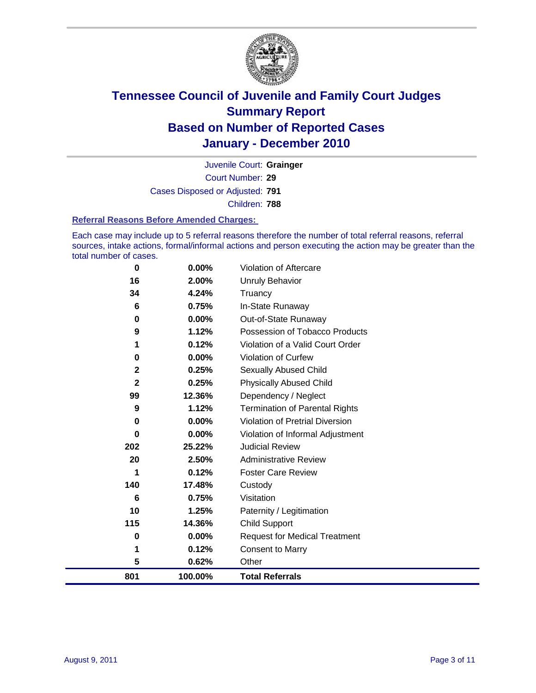

Court Number: **29** Juvenile Court: **Grainger** Cases Disposed or Adjusted: **791** Children: **788**

#### **Referral Reasons Before Amended Charges:**

Each case may include up to 5 referral reasons therefore the number of total referral reasons, referral sources, intake actions, formal/informal actions and person executing the action may be greater than the total number of cases.

| $\bf{0}$     | 0.00%    | Violation of Aftercare                 |
|--------------|----------|----------------------------------------|
| 16           | 2.00%    | <b>Unruly Behavior</b>                 |
| 34           | 4.24%    | Truancy                                |
| 6            | 0.75%    | In-State Runaway                       |
| 0            | 0.00%    | Out-of-State Runaway                   |
| 9            | 1.12%    | Possession of Tobacco Products         |
|              | 0.12%    | Violation of a Valid Court Order       |
| 0            | 0.00%    | Violation of Curfew                    |
| 2            | 0.25%    | <b>Sexually Abused Child</b>           |
| $\mathbf{2}$ | 0.25%    | <b>Physically Abused Child</b>         |
| 99           | 12.36%   | Dependency / Neglect                   |
| 9            | 1.12%    | <b>Termination of Parental Rights</b>  |
| 0            | $0.00\%$ | <b>Violation of Pretrial Diversion</b> |
| $\bf{0}$     | 0.00%    | Violation of Informal Adjustment       |
| 202          | 25.22%   | <b>Judicial Review</b>                 |
| 20           | 2.50%    | <b>Administrative Review</b>           |
| 1            | 0.12%    | <b>Foster Care Review</b>              |
| 140          | 17.48%   | Custody                                |
| 6            | 0.75%    | Visitation                             |
| 10           | 1.25%    | Paternity / Legitimation               |
| 115          | 14.36%   | <b>Child Support</b>                   |
| 0            | 0.00%    | <b>Request for Medical Treatment</b>   |
| 1            | 0.12%    | <b>Consent to Marry</b>                |
| 5            | 0.62%    | Other                                  |
| 801          | 100.00%  | <b>Total Referrals</b>                 |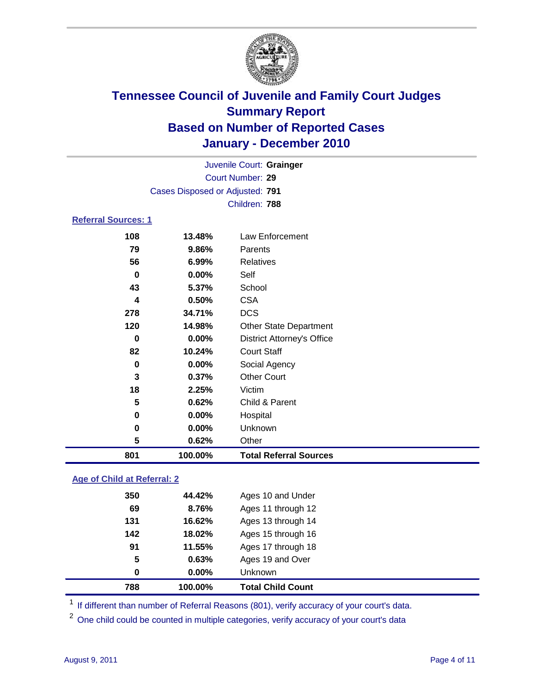

| <b>Referral Sources: 1</b> |         |                                   |  |
|----------------------------|---------|-----------------------------------|--|
|                            |         |                                   |  |
| 108                        | 13.48%  | Law Enforcement                   |  |
| 79                         | 9.86%   | Parents                           |  |
| 56                         | 6.99%   | <b>Relatives</b>                  |  |
| 0                          | 0.00%   | Self                              |  |
| 43                         | 5.37%   | School                            |  |
| 4                          | 0.50%   | <b>CSA</b>                        |  |
| 278                        | 34.71%  | <b>DCS</b>                        |  |
| 120                        | 14.98%  | <b>Other State Department</b>     |  |
| 0                          | 0.00%   | <b>District Attorney's Office</b> |  |
| 82                         | 10.24%  | <b>Court Staff</b>                |  |
| 0                          | 0.00%   | Social Agency                     |  |
| 3                          | 0.37%   | <b>Other Court</b>                |  |
| 18                         | 2.25%   | Victim                            |  |
| 5                          | 0.62%   | Child & Parent                    |  |
| 0                          | 0.00%   | Hospital                          |  |
| 0                          | 0.00%   | Unknown                           |  |
| 5                          | 0.62%   | Other                             |  |
| 801                        | 100.00% | <b>Total Referral Sources</b>     |  |

### **Age of Child at Referral: 2**

|     | 100.00% | <b>Total Child Count</b> |
|-----|---------|--------------------------|
| 0   | 0.00%   | <b>Unknown</b>           |
| 5   | 0.63%   | Ages 19 and Over         |
| 91  | 11.55%  | Ages 17 through 18       |
| 142 | 18.02%  | Ages 15 through 16       |
| 131 | 16.62%  | Ages 13 through 14       |
| 69  | 8.76%   | Ages 11 through 12       |
| 350 | 44.42%  | Ages 10 and Under        |
|     | 788     |                          |

<sup>1</sup> If different than number of Referral Reasons (801), verify accuracy of your court's data.

<sup>2</sup> One child could be counted in multiple categories, verify accuracy of your court's data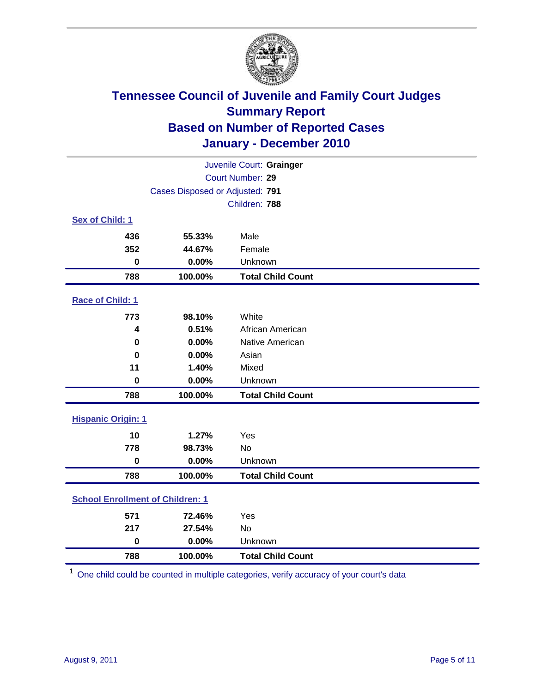

| Juvenile Court: Grainger                |                                 |                          |  |  |
|-----------------------------------------|---------------------------------|--------------------------|--|--|
|                                         | Court Number: 29                |                          |  |  |
|                                         | Cases Disposed or Adjusted: 791 |                          |  |  |
|                                         |                                 | Children: 788            |  |  |
| Sex of Child: 1                         |                                 |                          |  |  |
| 436                                     | 55.33%                          | Male                     |  |  |
| 352                                     | 44.67%                          | Female                   |  |  |
| $\mathbf 0$                             | 0.00%                           | Unknown                  |  |  |
| 788                                     | 100.00%                         | <b>Total Child Count</b> |  |  |
| Race of Child: 1                        |                                 |                          |  |  |
| 773                                     | 98.10%                          | White                    |  |  |
| 4                                       | 0.51%                           | African American         |  |  |
| 0                                       | 0.00%                           | Native American          |  |  |
| $\bf{0}$                                | 0.00%                           | Asian                    |  |  |
| 11                                      | 1.40%                           | Mixed                    |  |  |
| $\mathbf 0$                             | 0.00%                           | Unknown                  |  |  |
| 788                                     | 100.00%                         | <b>Total Child Count</b> |  |  |
| <b>Hispanic Origin: 1</b>               |                                 |                          |  |  |
| 10                                      | 1.27%                           | Yes                      |  |  |
| 778                                     | 98.73%                          | No                       |  |  |
| $\mathbf 0$                             | 0.00%                           | Unknown                  |  |  |
| 788                                     | 100.00%                         | <b>Total Child Count</b> |  |  |
| <b>School Enrollment of Children: 1</b> |                                 |                          |  |  |
| 571                                     | 72.46%                          | Yes                      |  |  |
| 217                                     | 27.54%                          | No                       |  |  |
| $\mathbf 0$                             | 0.00%                           | Unknown                  |  |  |
| 788                                     | 100.00%                         | <b>Total Child Count</b> |  |  |

One child could be counted in multiple categories, verify accuracy of your court's data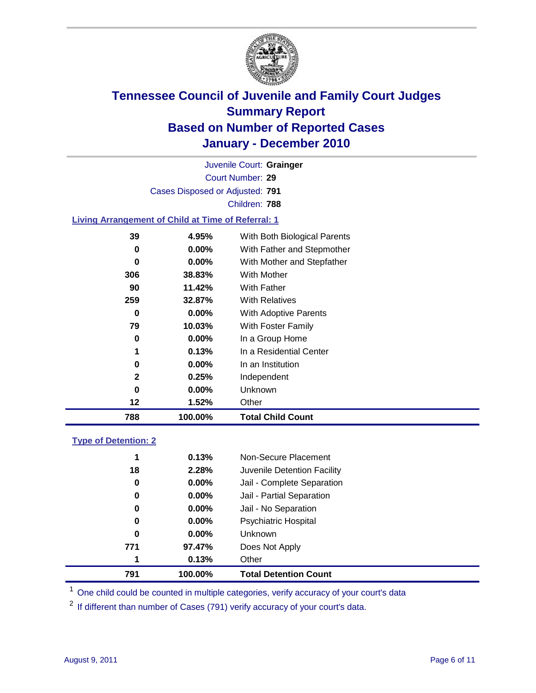

Court Number: **29** Juvenile Court: **Grainger** Cases Disposed or Adjusted: **791** Children: **788**

#### **Living Arrangement of Child at Time of Referral: 1**

| 12           | 1.52%    | Other                        |
|--------------|----------|------------------------------|
|              |          |                              |
| 0            | $0.00\%$ | Unknown                      |
| $\mathbf{2}$ | 0.25%    | Independent                  |
| 0            | $0.00\%$ | In an Institution            |
| 1            | 0.13%    | In a Residential Center      |
| 0            | $0.00\%$ | In a Group Home              |
| 79           | 10.03%   | With Foster Family           |
| 0            | $0.00\%$ | With Adoptive Parents        |
| 259          | 32.87%   | <b>With Relatives</b>        |
| 90           | 11.42%   | With Father                  |
| 306          | 38.83%   | With Mother                  |
| 0            | 0.00%    | With Mother and Stepfather   |
| 0            | $0.00\%$ | With Father and Stepmother   |
| 39           | 4.95%    | With Both Biological Parents |
|              |          |                              |

#### **Type of Detention: 2**

| 791 |    | 100.00%  | <b>Total Detention Count</b> |
|-----|----|----------|------------------------------|
|     | 1  | 0.13%    | Other                        |
| 771 |    | 97.47%   | Does Not Apply               |
|     | 0  | $0.00\%$ | <b>Unknown</b>               |
|     | 0  | $0.00\%$ | Psychiatric Hospital         |
|     | 0  | 0.00%    | Jail - No Separation         |
|     | 0  | $0.00\%$ | Jail - Partial Separation    |
|     | 0  | $0.00\%$ | Jail - Complete Separation   |
|     | 18 | 2.28%    | Juvenile Detention Facility  |
|     | 1  | 0.13%    | Non-Secure Placement         |
|     |    |          |                              |

<sup>1</sup> One child could be counted in multiple categories, verify accuracy of your court's data

<sup>2</sup> If different than number of Cases (791) verify accuracy of your court's data.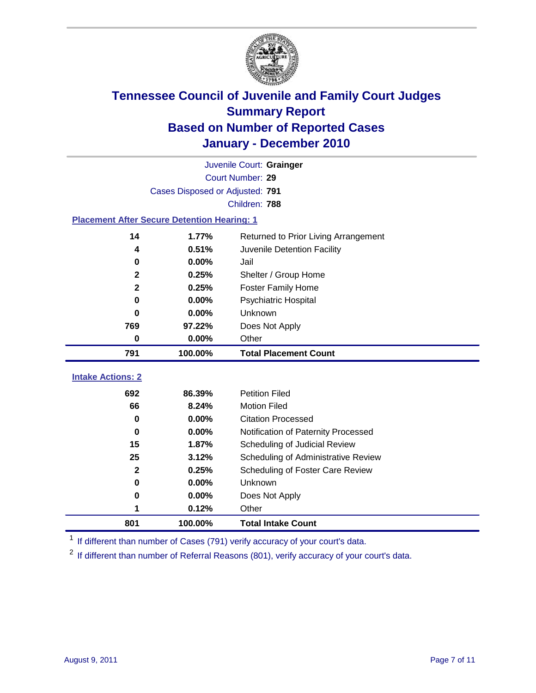

|                                                    | Juvenile Court: Grainger        |                                      |  |  |  |
|----------------------------------------------------|---------------------------------|--------------------------------------|--|--|--|
|                                                    | <b>Court Number: 29</b>         |                                      |  |  |  |
|                                                    | Cases Disposed or Adjusted: 791 |                                      |  |  |  |
|                                                    |                                 | Children: 788                        |  |  |  |
| <b>Placement After Secure Detention Hearing: 1</b> |                                 |                                      |  |  |  |
| 14                                                 | 1.77%                           | Returned to Prior Living Arrangement |  |  |  |
| 4                                                  | 0.51%                           | Juvenile Detention Facility          |  |  |  |
| $\mathbf 0$                                        | 0.00%                           | Jail                                 |  |  |  |
| $\mathbf{2}$                                       | 0.25%                           | Shelter / Group Home                 |  |  |  |
| $\overline{\mathbf{2}}$                            | 0.25%                           | <b>Foster Family Home</b>            |  |  |  |
| $\bf{0}$                                           | 0.00%                           | Psychiatric Hospital                 |  |  |  |
| 0                                                  | 0.00%                           | Unknown                              |  |  |  |
| 769                                                | 97.22%                          | Does Not Apply                       |  |  |  |
| $\mathbf 0$                                        | 0.00%                           | Other                                |  |  |  |
| 791                                                | 100.00%                         | <b>Total Placement Count</b>         |  |  |  |
|                                                    |                                 |                                      |  |  |  |
| <b>Intake Actions: 2</b>                           |                                 |                                      |  |  |  |
| 692                                                | 86.39%                          | <b>Petition Filed</b>                |  |  |  |
| 66                                                 | 8.24%                           | <b>Motion Filed</b>                  |  |  |  |
| $\bf{0}$                                           | 0.00%                           | <b>Citation Processed</b>            |  |  |  |
| $\bf{0}$                                           | 0.00%                           | Notification of Paternity Processed  |  |  |  |
| 15                                                 | 1.87%                           | Scheduling of Judicial Review        |  |  |  |
| 25                                                 | 3.12%                           | Scheduling of Administrative Review  |  |  |  |
| $\mathbf 2$                                        | 0.25%                           | Scheduling of Foster Care Review     |  |  |  |
| $\mathbf 0$                                        | 0.00%                           | Unknown                              |  |  |  |
| 0                                                  | 0.00%                           | Does Not Apply                       |  |  |  |
| 1                                                  | 0.12%                           | Other                                |  |  |  |

<sup>1</sup> If different than number of Cases (791) verify accuracy of your court's data.

<sup>2</sup> If different than number of Referral Reasons (801), verify accuracy of your court's data.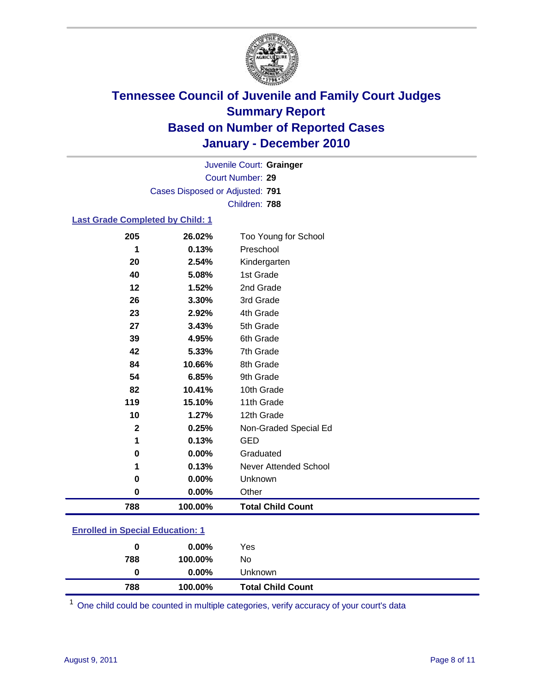

Court Number: **29** Juvenile Court: **Grainger** Cases Disposed or Adjusted: **791** Children: **788**

### **Last Grade Completed by Child: 1**

| 205          | 26.02%  | Too Young for School         |
|--------------|---------|------------------------------|
| 1            | 0.13%   | Preschool                    |
| 20           | 2.54%   | Kindergarten                 |
| 40           | 5.08%   | 1st Grade                    |
| 12           | 1.52%   | 2nd Grade                    |
| 26           | 3.30%   | 3rd Grade                    |
| 23           | 2.92%   | 4th Grade                    |
| 27           | 3.43%   | 5th Grade                    |
| 39           | 4.95%   | 6th Grade                    |
| 42           | 5.33%   | 7th Grade                    |
| 84           | 10.66%  | 8th Grade                    |
| 54           | 6.85%   | 9th Grade                    |
| 82           | 10.41%  | 10th Grade                   |
| 119          | 15.10%  | 11th Grade                   |
| 10           | 1.27%   | 12th Grade                   |
| $\mathbf{2}$ | 0.25%   | Non-Graded Special Ed        |
| 1            | 0.13%   | <b>GED</b>                   |
| 0            | 0.00%   | Graduated                    |
| 1            | 0.13%   | <b>Never Attended School</b> |
| 0            | 0.00%   | Unknown                      |
| $\mathbf 0$  | 0.00%   | Other                        |
| 788          | 100.00% | <b>Total Child Count</b>     |
|              |         |                              |

### **Enrolled in Special Education: 1**

| 0   | $0.00\%$ | Yes                      |
|-----|----------|--------------------------|
| 788 | 100.00%  | No                       |
|     | $0.00\%$ | <b>Unknown</b>           |
| 788 | 100.00%  | <b>Total Child Count</b> |

One child could be counted in multiple categories, verify accuracy of your court's data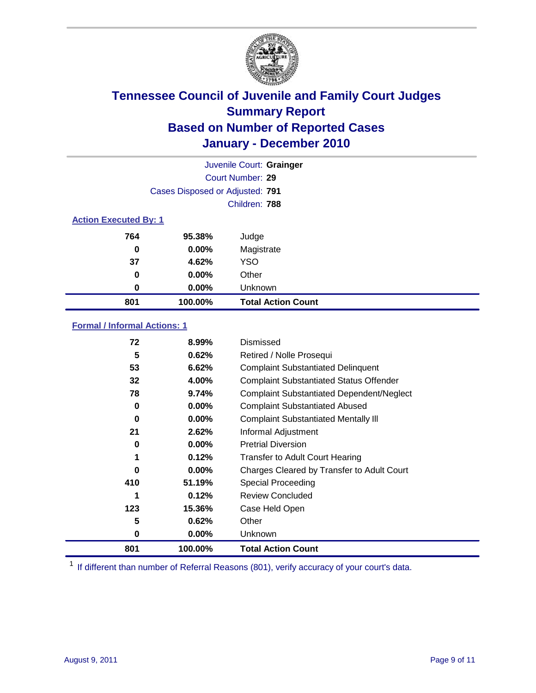

|                              | Juvenile Court: Grainger        |                           |  |  |  |
|------------------------------|---------------------------------|---------------------------|--|--|--|
|                              | Court Number: 29                |                           |  |  |  |
|                              | Cases Disposed or Adjusted: 791 |                           |  |  |  |
| Children: 788                |                                 |                           |  |  |  |
| <b>Action Executed By: 1</b> |                                 |                           |  |  |  |
| 764                          | 95.38%                          | Judge                     |  |  |  |
| 0                            | $0.00\%$                        | Magistrate                |  |  |  |
| 37                           | 4.62%                           | <b>YSO</b>                |  |  |  |
| 0                            | 0.00%                           | Other                     |  |  |  |
| 0                            | 0.00%                           | Unknown                   |  |  |  |
| 801                          | 100.00%                         | <b>Total Action Count</b> |  |  |  |

### **Formal / Informal Actions: 1**

| 72       | 8.99%    | Dismissed                                        |
|----------|----------|--------------------------------------------------|
| 5        | 0.62%    | Retired / Nolle Prosequi                         |
| 53       | 6.62%    | <b>Complaint Substantiated Delinquent</b>        |
| 32       | 4.00%    | <b>Complaint Substantiated Status Offender</b>   |
| 78       | 9.74%    | <b>Complaint Substantiated Dependent/Neglect</b> |
| $\bf{0}$ | $0.00\%$ | <b>Complaint Substantiated Abused</b>            |
| $\bf{0}$ | $0.00\%$ | <b>Complaint Substantiated Mentally III</b>      |
| 21       | 2.62%    | Informal Adjustment                              |
| 0        | $0.00\%$ | <b>Pretrial Diversion</b>                        |
| 1        | 0.12%    | <b>Transfer to Adult Court Hearing</b>           |
| 0        | $0.00\%$ | Charges Cleared by Transfer to Adult Court       |
| 410      | 51.19%   | Special Proceeding                               |
| 1        | 0.12%    | <b>Review Concluded</b>                          |
| 123      | 15.36%   | Case Held Open                                   |
| 5        | 0.62%    | Other                                            |
| 0        | $0.00\%$ | Unknown                                          |
| 801      | 100.00%  | <b>Total Action Count</b>                        |

<sup>1</sup> If different than number of Referral Reasons (801), verify accuracy of your court's data.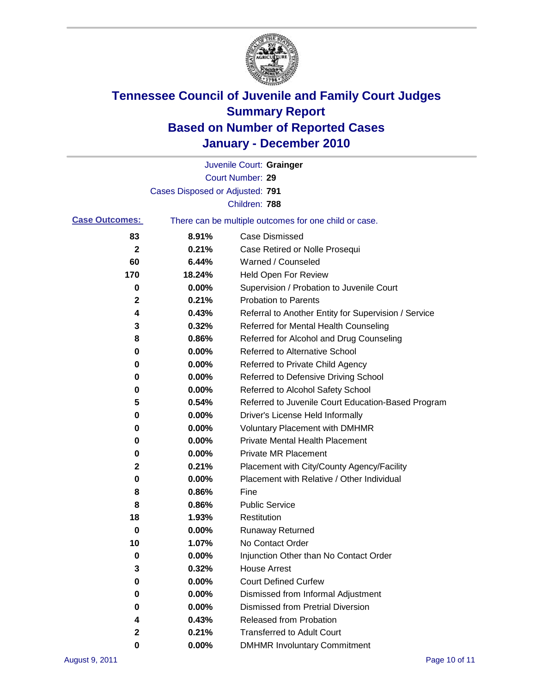

|                       |                                 | Juvenile Court: Grainger                              |
|-----------------------|---------------------------------|-------------------------------------------------------|
|                       |                                 | Court Number: 29                                      |
|                       | Cases Disposed or Adjusted: 791 |                                                       |
|                       |                                 | Children: 788                                         |
| <b>Case Outcomes:</b> |                                 | There can be multiple outcomes for one child or case. |
| 83                    | 8.91%                           | <b>Case Dismissed</b>                                 |
| $\mathbf{2}$          | 0.21%                           | Case Retired or Nolle Prosequi                        |
| 60                    | 6.44%                           | Warned / Counseled                                    |
| 170                   | 18.24%                          | Held Open For Review                                  |
| 0                     | 0.00%                           | Supervision / Probation to Juvenile Court             |
| 2                     | 0.21%                           | <b>Probation to Parents</b>                           |
| 4                     | 0.43%                           | Referral to Another Entity for Supervision / Service  |
| 3                     | 0.32%                           | Referred for Mental Health Counseling                 |
| 8                     | 0.86%                           | Referred for Alcohol and Drug Counseling              |
| 0                     | 0.00%                           | <b>Referred to Alternative School</b>                 |
| 0                     | 0.00%                           | Referred to Private Child Agency                      |
| 0                     | 0.00%                           | Referred to Defensive Driving School                  |
| 0                     | 0.00%                           | Referred to Alcohol Safety School                     |
| 5                     | 0.54%                           | Referred to Juvenile Court Education-Based Program    |
| 0                     | 0.00%                           | Driver's License Held Informally                      |
| 0                     | 0.00%                           | <b>Voluntary Placement with DMHMR</b>                 |
| 0                     | 0.00%                           | <b>Private Mental Health Placement</b>                |
| 0                     | 0.00%                           | <b>Private MR Placement</b>                           |
| 2                     | 0.21%                           | Placement with City/County Agency/Facility            |
| 0                     | 0.00%                           | Placement with Relative / Other Individual            |
| 8                     | 0.86%                           | Fine                                                  |
| 8                     | 0.86%                           | <b>Public Service</b>                                 |
| 18                    | 1.93%                           | Restitution                                           |
| 0                     | 0.00%                           | <b>Runaway Returned</b>                               |
| 10                    | 1.07%                           | No Contact Order                                      |
| 0                     | 0.00%                           | Injunction Other than No Contact Order                |
| 3                     | 0.32%                           | <b>House Arrest</b>                                   |
| 0                     | $0.00\%$                        | <b>Court Defined Curfew</b>                           |
| 0                     | 0.00%                           | Dismissed from Informal Adjustment                    |
| 0                     | $0.00\%$                        | <b>Dismissed from Pretrial Diversion</b>              |
| 4                     | 0.43%                           | Released from Probation                               |
| 2                     | 0.21%                           | <b>Transferred to Adult Court</b>                     |
| 0                     | $0.00\%$                        | <b>DMHMR Involuntary Commitment</b>                   |